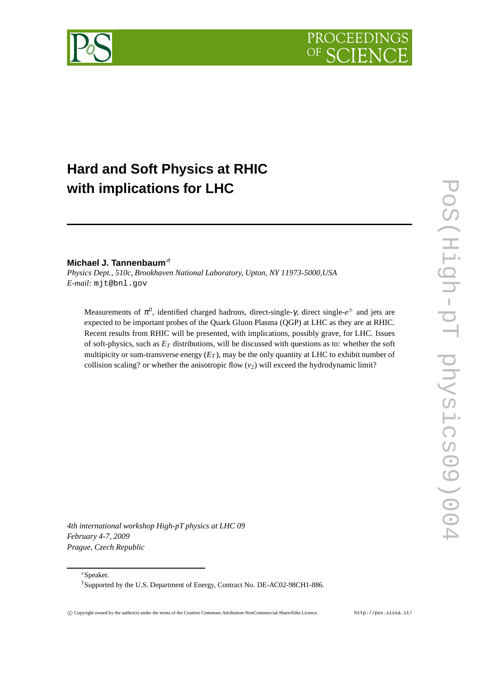



# **Hard and Soft Physics at RHIC with implications for LHC**

### **Michael J. Tannenbaum**∗†

*Physics Dept., 510c, Brookhaven National Laboratory, Upton, NY 11973-5000,USA E-mail:* mjt@bnl.gov

Measurements of π<sup>0</sup>, identified charged hadrons, direct-single-γ, direct single-e<sup>±</sup> and jets are expected to be important probes of the Quark Gluon Plasma (QGP) at LHC as they are at RHIC. Recent results from RHIC will be presented, with implications, possibly grave, for LHC. Issues of soft-physics, such as *E<sup>T</sup>* distributions, will be discussed with questions as to: whether the soft multipicity or sum-transverse energy  $(E_T)$ , may be the only quantity at LHC to exhibit number of collision scaling? or whether the anisotropic flow  $(v_2)$  will exceed the hydrodynamic limit?

*4th international workshop High-pT physics at LHC 09 February 4-7, 2009 Prague, Czech Republic*

∗Speaker.

<sup>†</sup>Supported by the U.S. Department of Energy, Contract No. DE-AC02-98CH1-886.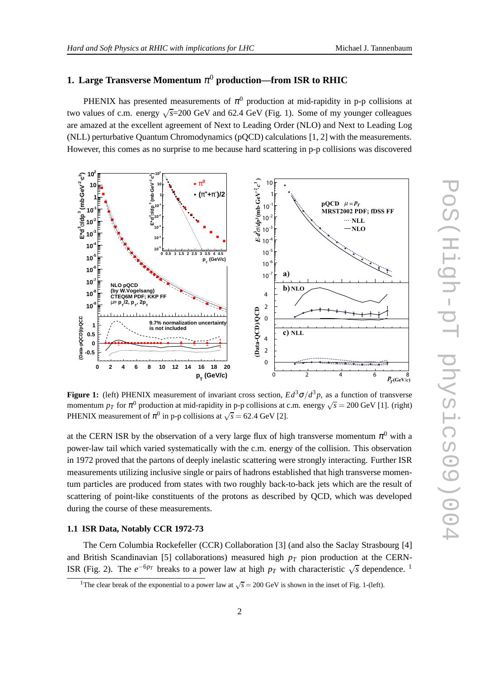**1. Large Transverse Momentum**  $\pi^0$  **production—from ISR to RHIC** 

PHENIX has presented measurements of  $\pi^0$  production at mid-rapidity in p-p collisions at two values of c.m. energy  $\sqrt{s}$ =200 GeV and 62.4 GeV (Fig. 1). Some of my younger colleagues are amazed at the excellent agreement of Next to Leading Order (NLO) and Next to Leading Log (NLL) perturbative Quantum Chromodynamics (pQCD) calculations [1, 2] with the measurements. However, this comes as no surprise to me because hard scattering in p-p collisions was discovered



**Figure 1:** (left) PHENIX measurement of invariant cross section,  $Ed^3\sigma/d^3p$ , as a function of transverse momentum  $p_T$  for  $\pi^0$  production at mid-rapidity in p-p collisions at c.m. energy  $\sqrt{s} = 200$  GeV [1]. (right) PHENIX measurement of  $\pi^0$  in p-p collisions at  $\sqrt{s} = 62.4$  GeV [2].

at the CERN ISR by the observation of a very large flux of high transverse momentum  $\pi^0$  with a power-law tail which varied systematically with the c.m. energy of the collision. This observation in 1972 proved that the partons of deeply inelastic scattering were strongly interacting. Further ISR measurements utilizing inclusive single or pairs of hadrons established that high transverse momentum particles are produced from states with two roughly back-to-back jets which are the result of scattering of point-like constituents of the protons as described by QCD, which was developed during the course of these measurements.

#### **1.1 ISR Data, Notably CCR 1972-73**

The Cern Columbia Rockefeller (CCR) Collaboration [3] (and also the Saclay Strasbourg [4] and British Scandinavian [5] collaborations) measured high  $p<sub>T</sub>$  pion production at the CERN-ISR (Fig. 2). The  $e^{-6p_T}$  breaks to a power law at high  $p_T$  with characteristic  $\sqrt{s}$  dependence. <sup>1</sup>

<sup>&</sup>lt;sup>1</sup>The clear break of the exponential to a power law at  $\sqrt{s} = 200$  GeV is shown in the inset of Fig. 1-(left).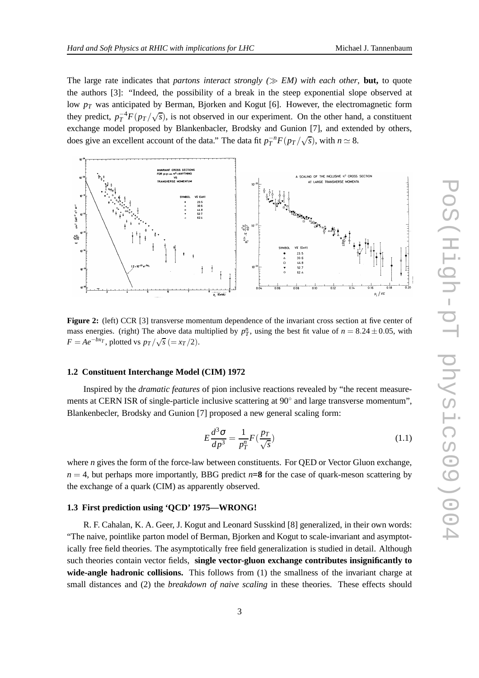The large rate indicates that *partons interact strongly* ( $\gg EM$ ) with each other, **but,** to quote the authors [3]: "Indeed, the possibility of a break in the steep exponential slope observed at low  $p_T$  was anticipated by Berman, Bjorken and Kogut [6]. However, the electromagnetic form they predict,  $p_T^{-4}F(p_T/\sqrt{s})$ , is not observed in our experiment. On the other hand, a constituent exchange model proposed by Blankenbacler, Brodsky and Gunion [7], and extended by others, does give an excellent account of the data." The data fit  $p_T^{-n}F(p_T/\sqrt{s})$ , with  $n \approx 8$ .



**Figure 2:** (left) CCR [3] transverse momentum dependence of the invariant cross section at five center of mass energies. (right) The above data multiplied by  $p_T^n$ , using the best fit value of  $n = 8.24 \pm 0.05$ , with  $F = Ae^{-bxT}$ , plotted vs  $p_T/\sqrt{s} (= x_T/2)$ .

#### **1.2 Constituent Interchange Model (CIM) 1972**

Inspired by the *dramatic features* of pion inclusive reactions revealed by "the recent measurements at CERN ISR of single-particle inclusive scattering at 90 $^{\circ}$  and large transverse momentum", Blankenbecler, Brodsky and Gunion [7] proposed a new general scaling form:

$$
E\frac{d^3\sigma}{dp^3} = \frac{1}{p_T^n}F(\frac{p_T}{\sqrt{s}})
$$
\n(1.1)

where *n* gives the form of the force-law between constituents. For QED or Vector Gluon exchange,  $n = 4$ , but perhaps more importantly, BBG predict  $n=8$  for the case of quark-meson scattering by the exchange of a quark (CIM) as apparently observed.

#### **1.3 First prediction using 'QCD' 1975—WRONG!**

R. F. Cahalan, K. A. Geer, J. Kogut and Leonard Susskind [8] generalized, in their own words: "The naive, pointlike parton model of Berman, Bjorken and Kogut to scale-invariant and asymptotically free field theories. The asymptotically free field generalization is studied in detail. Although such theories contain vector fields, **single vector-gluon exchange contributes insignificantly to wide-angle hadronic collisions.** This follows from (1) the smallness of the invariant charge at small distances and (2) the *breakdown of naive scaling* in these theories. These effects should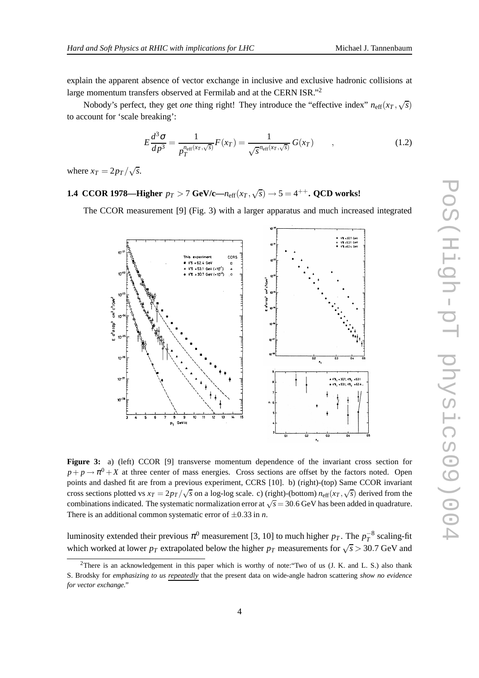explain the apparent absence of vector exchange in inclusive and exclusive hadronic collisions at large momentum transfers observed at Fermilab and at the CERN ISR."<sup>2</sup>

Nobody's perfect, they get *one* thing right! They introduce the "effective index"  $n_{\text{eff}}(x_T, \sqrt{s})$ to account for 'scale breaking':

$$
E\frac{d^3\sigma}{dp^3} = \frac{1}{p_T^{\text{neff}(x_T,\sqrt{s})}}F(x_T) = \frac{1}{\sqrt{s}^{\text{neff}(x_T,\sqrt{s})}}G(x_T) \qquad , \qquad (1.2)
$$

where  $x_T = 2p_T/\sqrt{s}$ .

## **1.4 CCOR 1978—Higher**  $p_T > 7$  GeV/c— $n_{\text{eff}}(x_T, \sqrt{s}) \rightarrow 5 = 4^{++}$ . QCD works!

The CCOR measurement [9] (Fig. 3) with a larger apparatus and much increased integrated



**Figure 3:** a) (left) CCOR [9] transverse momentum dependence of the invariant cross section for  $p + p \rightarrow \pi^0 + X$  at three center of mass energies. Cross sections are offset by the factors noted. Open points and dashed fit are from a previous experiment, CCRS [10]. b) (right)-(top) Same CCOR invariant cross sections plotted vs  $x_T = 2p_T/\sqrt{s}$  on a log-log scale. c) (right)-(bottom)  $n_{\text{eff}}(x_T, \sqrt{s})$  derived from the combinations indicated. The systematic normalization error at  $\sqrt{s}$  = 30.6 GeV has been added in quadrature. There is an additional common systematic error of  $\pm 0.33$  in *n*.

luminosity extended their previous  $\pi^0$  measurement [3, 10] to much higher  $p_T$ . The  $p_T^{-8}$  scaling-fit which worked at lower  $p_T$  extrapolated below the higher  $p_T$  measurements for  $\sqrt{s} > 30.7$  GeV and

<sup>&</sup>lt;sup>2</sup>There is an acknowledgement in this paper which is worthy of note: "Two of us  $(J. K.$  and L. S.) also thank S. Brodsky for *emphasizing to us repeatedly* that the present data on wide-angle hadron scattering *show no evidence for vector exchange."*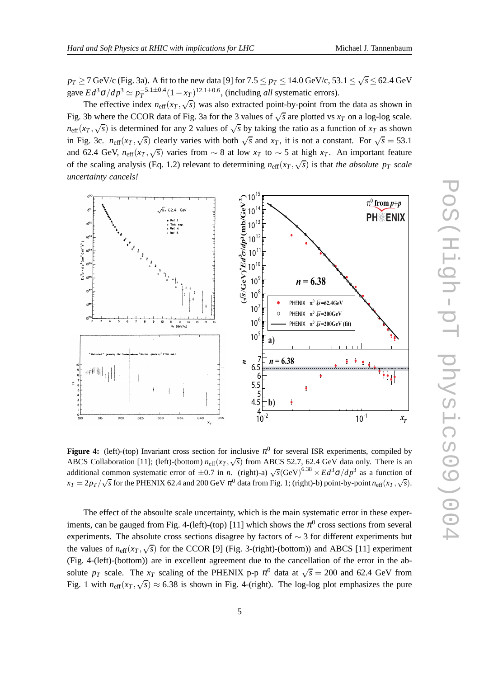$p_T \ge 7$  GeV/c (Fig. 3a). A fit to the new data [9] for  $7.5 \le p_T \le 14.0$  GeV/c,  $53.1 \le \sqrt{s} \le 62.4$  GeV gave  $Ed^3\sigma/dp^3 \simeq p_T^{-5.1 \pm 0.4} (1 - x_T)^{12.1 \pm 0.6}$ , (including *all* systematic errors).

The effective index  $n_{\text{eff}}(x_T, \sqrt{s})$  was also extracted point-by-point from the data as shown in Fig. 3b where the CCOR data of Fig. 3a for the 3 values of  $\sqrt{s}$  are plotted vs  $x_T$  on a log-log scale.  $n_{\text{eff}}(x_T, \sqrt{s})$  is determined for any 2 values of  $\sqrt{s}$  by taking the ratio as a function of  $x_T$  as shown in Fig. 3c.  $n_{\text{eff}}(x_T, \sqrt{s})$  clearly varies with both  $\sqrt{s}$  and  $x_T$ , it is not a constant. For  $\sqrt{s} = 53.1$ and 62.4 GeV,  $n_{\text{eff}}(x_T, \sqrt{s})$  varies from  $\sim 8$  at low  $x_T$  to  $\sim 5$  at high  $x_T$ . An important feature of the scaling analysis (Eq. 1.2) relevant to determining  $n_{\text{eff}}(x_T, \sqrt{s})$  is that *the absolute p<sub>T</sub> scale uncertainty cancels!*



**Figure 4:** (left)-(top) Invariant cross section for inclusive  $\pi^0$  for several ISR experiments, compiled by ABCS Collaboration [11]; (left)-(bottom)  $n_{\text{eff}}(x_T, \sqrt{s})$  from ABCS 52.7, 62.4 GeV data only. There is an additional common systematic error of  $\pm 0.7$  in *n*. (right)-a)  $\sqrt{s}$ (GeV)<sup>6.38</sup> ×  $Ed^3\sigma/dp^3$  as a function of  $x_T = 2p_T/\sqrt{s}$  for the PHENIX 62.4 and 200 GeV  $\pi^0$  data from Fig. 1; (right)-b) point-by-point  $n_{\text{eff}}(x_T, \sqrt{s})$ .

The effect of the absoulte scale uncertainty, which is the main systematic error in these experiments, can be gauged from Fig. 4-(left)-(top) [11] which shows the  $\pi^0$  cross sections from several experiments. The absolute cross sections disagree by factors of ∼ 3 for different experiments but the values of  $n_{\text{eff}}(x_T, \sqrt{s})$  for the CCOR [9] (Fig. 3-(right)-(bottom)) and ABCS [11] experiment (Fig. 4-(left)-(bottom)) are in excellent agreement due to the cancellation of the error in the absolute  $p_T$  scale. The  $x_T$  scaling of the PHENIX p-p  $\pi^0$  data at  $\sqrt{s} = 200$  and 62.4 GeV from Fig. 1 with  $n_{\text{eff}}(x_T, \sqrt{s}) \approx 6.38$  is shown in Fig. 4-(right). The log-log plot emphasizes the pure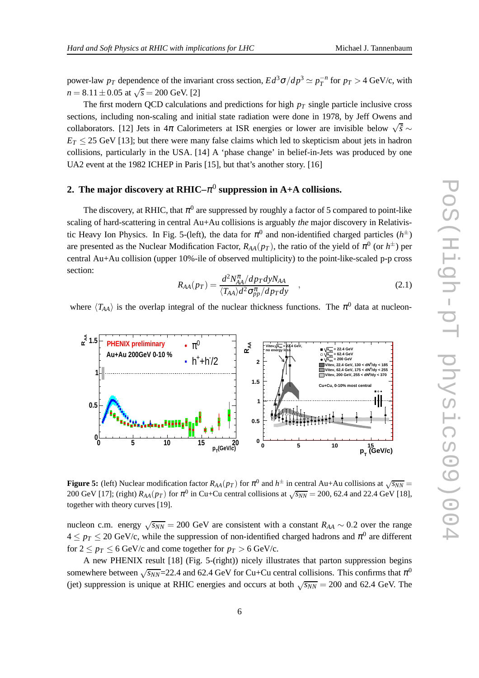power-law  $p_T$  dependence of the invariant cross section,  $Ed^3\sigma/dp^3 \simeq p_T^{-n}$  for  $p_T > 4$  GeV/c, with  $n = 8.11 \pm 0.05$  at  $\sqrt{s} = 200$  GeV. [2]

The first modern QCD calculations and predictions for high  $p<sub>T</sub>$  single particle inclusive cross sections, including non-scaling and initial state radiation were done in 1978, by Jeff Owens and collaborators. [12] Jets in  $4\pi$  Calorimeters at ISR energies or lower are invisible below  $\sqrt{\hat{s}}$  ∼  $E_T \leq 25$  GeV [13]; but there were many false claims which led to skepticism about jets in hadron collisions, particularly in the USA. [14] A 'phase change' in belief-in-Jets was produced by one UA2 event at the 1982 ICHEP in Paris [15], but that's another story. [16]

### **2. The major discovery at RHIC–**<sup>π</sup> 0 **suppression in A+A collisions.**

The discovery, at RHIC, that  $\pi^0$  are suppressed by roughly a factor of 5 compared to point-like scaling of hard-scattering in central Au+Au collisions is arguably *the* major discovery in Relativistic Heavy Ion Physics. In Fig. 5-(left), the data for  $\pi^0$  and non-identified charged particles ( $h^{\pm}$ ) are presented as the Nuclear Modification Factor,  $R_{AA}(p_T)$ , the ratio of the yield of  $\pi^0$  (or  $h^{\pm}$ ) per central Au+Au collision (upper 10%-ile of observed multiplicity) to the point-like-scaled p-p cross section:

$$
R_{AA}(p_T) = \frac{d^2 N_{AA}^{\pi} / dp_T dy N_{AA}}{\langle T_{AA} \rangle d^2 \sigma_{pp}^{\pi} / dp_T dy} \quad , \tag{2.1}
$$

where  $\langle T_{AA} \rangle$  is the overlap integral of the nuclear thickness functions. The  $\pi^0$  data at nucleon-



**Figure 5:** (left) Nuclear modification factor  $R_{AA}(p_T)$  for  $\pi^0$  and  $h^{\pm}$  in central Au+Au collisions at  $\sqrt{s_{NN}}$  = 200 GeV [17]; (right)  $R_{AA}(p_T)$  for  $\pi^0$  in Cu+Cu central collisions at  $\sqrt{s_{NN}}$  = 200, 62.4 and 22.4 GeV [18], together with theory curves [19].

nucleon c.m. energy  $\sqrt{s_{NN}} = 200$  GeV are consistent with a constant  $R_{AA} \sim 0.2$  over the range  $4 \leq p_T \leq 20$  GeV/c, while the suppression of non-identified charged hadrons and  $\pi^0$  are different for  $2 \le p_T \le 6$  GeV/c and come together for  $p_T > 6$  GeV/c.

A new PHENIX result [18] (Fig. 5-(right)) nicely illustrates that parton suppression begins somewhere between  $\sqrt{s_{NN}}$ =22.4 and 62.4 GeV for Cu+Cu central collisions. This confirms that  $\pi^0$ (jet) suppression is unique at RHIC energies and occurs at both  $\sqrt{s_{NN}}$  = 200 and 62.4 GeV. The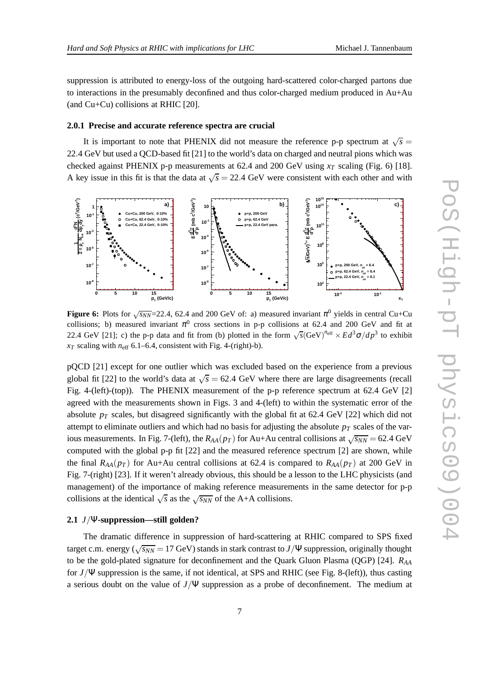suppression is attributed to energy-loss of the outgoing hard-scattered color-charged partons due to interactions in the presumably deconfined and thus color-charged medium produced in Au+Au (and Cu+Cu) collisions at RHIC [20].

#### **2.0.1 Precise and accurate reference spectra are crucial**

It is important to note that PHENIX did not measure the reference p-p spectrum at  $\sqrt{s}$  = 22.4 GeV but used a QCD-based fit [21] to the world's data on charged and neutral pions which was checked against PHENIX p-p measurements at 62.4 and 200 GeV using  $x_T$  scaling (Fig. 6) [18]. A key issue in this fit is that the data at  $\sqrt{s} = 22.4$  GeV were consistent with each other and with



**Figure 6:** Plots for  $\sqrt{s_{NN}}$ =22.4, 62.4 and 200 GeV of: a) measured invariant  $\pi^0$  yields in central Cu+Cu collisions; b) measured invariant  $\pi^0$  cross sections in p-p collisions at 62.4 and 200 GeV and fit at 22.4 GeV [21]; c) the p-p data and fit from (b) plotted in the form  $\sqrt{s}$ (GeV)<sup>n</sup><sup>eff</sup>  $\times Ed^3\sigma/dp^3$  to exhibit  $x_T$  scaling with  $n_{\text{eff}}$  6.1–6.4, consistent with Fig. 4-(right)-b).

pQCD [21] except for one outlier which was excluded based on the experience from a previous global fit [22] to the world's data at  $\sqrt{s}$  = 62.4 GeV where there are large disagreements (recall Fig. 4-(left)-(top)). The PHENIX measurement of the p-p reference spectrum at 62.4 GeV [2] agreed with the measurements shown in Figs. 3 and 4-(left) to within the systematic error of the absolute  $p_T$  scales, but disagreed significantly with the global fit at 62.4 GeV [22] which did not attempt to eliminate outliers and which had no basis for adjusting the absolute  $p<sub>T</sub>$  scales of the various measurements. In Fig. 7-(left), the  $R_{AA}(p_T)$  for Au+Au central collisions at  $\sqrt{s_{NN}}$  = 62.4 GeV computed with the global p-p fit [22] and the measured reference spectrum [2] are shown, while the final  $R_{AA}(p_T)$  for Au+Au central collisions at 62.4 is compared to  $R_{AA}(p_T)$  at 200 GeV in Fig. 7-(right) [23]. If it weren't already obvious, this should be a lesson to the LHC physicists (and management) of the importance of making reference measurements in the same detector for p-p collisions at the identical  $\sqrt{s}$  as the  $\sqrt{s_{NN}}$  of the A+A collisions.

#### **2.1** *J*/Ψ**-suppression—still golden?**

The dramatic difference in suppression of hard-scattering at RHIC compared to SPS fixed target c.m. energy ( $\sqrt{s_{NN}}$  = 17 GeV) stands in stark contrast to *J*/ $\Psi$  suppression, originally thought to be the gold-plated signature for deconfinement and the Quark Gluon Plasma (QGP) [24]. *RAA* for *J*/Ψ suppression is the same, if not identical, at SPS and RHIC (see Fig. 8-(left)), thus casting a serious doubt on the value of *J*/Ψ suppression as a probe of deconfinement. The medium at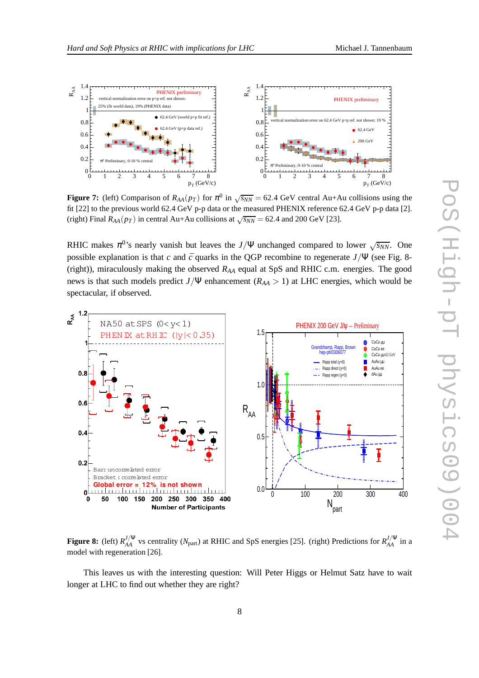

**Figure 7:** (left) Comparison of  $R_{AA}(p_T)$  for  $\pi^0$  in  $\sqrt{s_{NN}} = 62.4$  GeV central Au+Au collisions using the fit [22] to the previous world 62.4 GeV p-p data or the measured PHENIX reference 62.4 GeV p-p data [2]. (right) Final  $R_{AA}(p_T)$  in central Au+Au collisions at  $\sqrt{s_{NN}}$  = 62.4 and 200 GeV [23].

RHIC makes  $\pi^{0}$ 's nearly vanish but leaves the *J*/Ψ unchanged compared to lower  $\sqrt{s_{NN}}$ . One possible explanation is that *c* and  $\bar{c}$  quarks in the QGP recombine to regenerate  $J/\Psi$  (see Fig. 8-(right)), miraculously making the observed *RAA* equal at SpS and RHIC c.m. energies. The good news is that such models predict *J*/Ψ enhancement (*RAA* > 1) at LHC energies, which would be spectacular, if observed.



**Figure 8:** (left)  $R_{AA}^{J/\Psi}$  vs centrality ( $N_{part}$ ) at RHIC and SpS energies [25]. (right) Predictions for  $R_{AA}^{J/\Psi}$  in a model with regeneration [26].

This leaves us with the interesting question: Will Peter Higgs or Helmut Satz have to wait longer at LHC to find out whether they are right?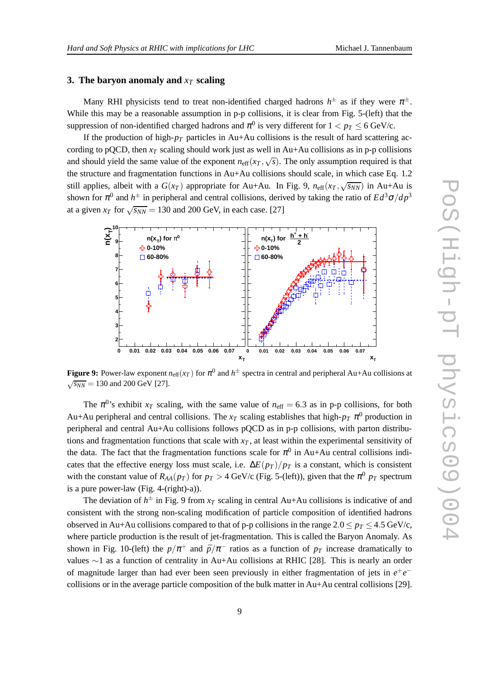#### **3. The baryon anomaly and** *x<sup>T</sup>* **scaling**

Many RHI physicists tend to treat non-identified charged hadrons  $h^{\pm}$  as if they were  $\pi^{\pm}$ . While this may be a reasonable assumption in p-p collisions, it is clear from Fig. 5-(left) that the suppression of non-identified charged hadrons and  $\pi^0$  is very different for  $1 < p_T \le 6$  GeV/c.

If the production of high- $p_T$  particles in Au+Au collisions is the result of hard scattering according to pQCD, then  $x_T$  scaling should work just as well in Au+Au collisions as in p-p collisions and should yield the same value of the exponent  $n_{\text{eff}}(x_T, \sqrt{s})$ . The only assumption required is that the structure and fragmentation functions in Au+Au collisions should scale, in which case Eq. 1.2 still applies, albeit with a  $G(x_T)$  appropriate for Au+Au. In Fig. 9,  $n_{\text{eff}}(x_T, \sqrt{s_{NN}})$  in Au+Au is shown for  $\pi^0$  and  $h^{\pm}$  in peripheral and central collisions, derived by taking the ratio of  $Ed^3\sigma/dp^3$ at a given  $x_T$  for  $\sqrt{s_{NN}} = 130$  and 200 GeV, in each case. [27]



**Figure 9:** Power-law exponent  $n_{\text{eff}}(x_T)$  for  $\pi^0$  and  $h^{\pm}$  spectra in central and peripheral Au+Au collisions at  $\sqrt{s_{NN}}$  = 130 and 200 GeV [27].

The  $\pi^{0}$ 's exhibit  $x_T$  scaling, with the same value of  $n_{\text{eff}} = 6.3$  as in p-p collisions, for both Au+Au peripheral and central collisions. The  $x_T$  scaling establishes that high- $p_T \pi^0$  production in peripheral and central Au+Au collisions follows pQCD as in p-p collisions, with parton distributions and fragmentation functions that scale with  $x<sub>T</sub>$ , at least within the experimental sensitivity of the data. The fact that the fragmentation functions scale for  $\pi^0$  in Au+Au central collisions indicates that the effective energy loss must scale, i.e.  $\Delta E(p_T)/p_T$  is a constant, which is consistent with the constant value of  $R_{AA}(p_T)$  for  $p_T > 4$  GeV/c (Fig. 5-(left)), given that the  $\pi^0$   $p_T$  spectrum is a pure power-law (Fig. 4-(right)-a)).

The deviation of  $h^{\pm}$  in Fig. 9 from  $x_T$  scaling in central Au+Au collisions is indicative of and consistent with the strong non-scaling modification of particle composition of identified hadrons observed in Au+Au collisions compared to that of p-p collisions in the range  $2.0 \le p_T \le 4.5$  GeV/c, where particle production is the result of jet-fragmentation. This is called the Baryon Anomaly. As shown in Fig. 10-(left) the  $p/\pi$ <sup>+</sup> and  $\bar{p}/\pi$ <sup>-</sup> ratios as a function of  $p_T$  increase dramatically to values ∼1 as a function of centrality in Au+Au collisions at RHIC [28]. This is nearly an order of magnitude larger than had ever been seen previously in either fragmentation of jets in  $e^+e^$ collisions or in the average particle composition of the bulk matter in Au+Au central collisions [29].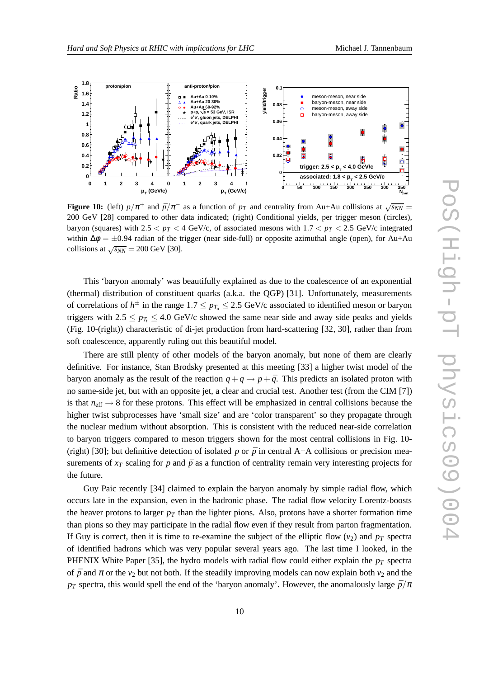

**Figure 10:** (left)  $p/\pi^+$  and  $\bar{p}/\pi^-$  as a function of  $p_T$  and centrality from Au+Au collisions at  $\sqrt{s_{NN}}$  = 200 GeV [28] compared to other data indicated; (right) Conditional yields, per trigger meson (circles), baryon (squares) with  $2.5 < p_T < 4$  GeV/c, of associated mesons with  $1.7 < p_T < 2.5$  GeV/c integrated within  $\Delta \phi = \pm 0.94$  radian of the trigger (near side-full) or opposite azimuthal angle (open), for Au+Au collisions at  $\sqrt{s_{NN}}$  = 200 GeV [30].

This 'baryon anomaly' was beautifully explained as due to the coalescence of an exponential (thermal) distribution of constituent quarks (a.k.a. the QGP) [31]. Unfortunately, measurements of correlations of  $h^{\pm}$  in the range  $1.7 \leq p_{T_a} \leq 2.5$  GeV/c associated to identified meson or baryon triggers with  $2.5 \le p_T \le 4.0$  GeV/c showed the same near side and away side peaks and yields (Fig. 10-(right)) characteristic of di-jet production from hard-scattering [32, 30], rather than from soft coalescence, apparently ruling out this beautiful model.

There are still plenty of other models of the baryon anomaly, but none of them are clearly definitive. For instance, Stan Brodsky presented at this meeting [33] a higher twist model of the baryon anomaly as the result of the reaction  $q + q \rightarrow p + \bar{q}$ . This predicts an isolated proton with no same-side jet, but with an opposite jet, a clear and crucial test. Another test (from the CIM [7]) is that  $n_{\text{eff}} \rightarrow 8$  for these protons. This effect will be emphasized in central collisions because the higher twist subprocesses have 'small size' and are 'color transparent' so they propagate through the nuclear medium without absorption. This is consistent with the reduced near-side correlation to baryon triggers compared to meson triggers shown for the most central collisions in Fig. 10- (right) [30]; but definitive detection of isolated *p* or  $\bar{p}$  in central A+A collisions or precision measurements of  $x_T$  scaling for *p* and  $\bar{p}$  as a function of centrality remain very interesting projects for the future.

Guy Paic recently [34] claimed to explain the baryon anomaly by simple radial flow, which occurs late in the expansion, even in the hadronic phase. The radial flow velocity Lorentz-boosts the heaver protons to larger  $p<sub>T</sub>$  than the lighter pions. Also, protons have a shorter formation time than pions so they may participate in the radial flow even if they result from parton fragmentation. If Guy is correct, then it is time to re-examine the subject of the elliptic flow  $(v_2)$  and  $p_T$  spectra of identified hadrons which was very popular several years ago. The last time I looked, in the PHENIX White Paper [35], the hydro models with radial flow could either explain the *p<sup>T</sup>* spectra of  $\bar{p}$  and  $\pi$  or the *v*<sub>2</sub> but not both. If the steadily improving models can now explain both *v*<sub>2</sub> and the *p*<sup>*T*</sup> spectra, this would spell the end of the 'baryon anomaly'. However, the anomalously large  $\bar{p}/\pi$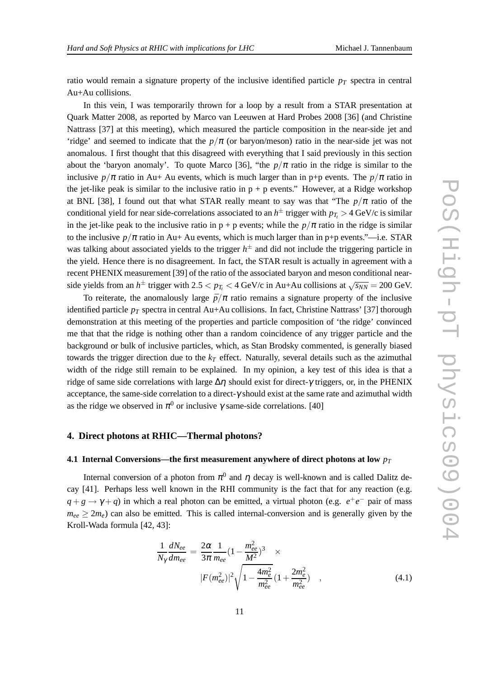ratio would remain a signature property of the inclusive identified particle  $p_T$  spectra in central Au+Au collisions.

In this vein, I was temporarily thrown for a loop by a result from a STAR presentation at Quark Matter 2008, as reported by Marco van Leeuwen at Hard Probes 2008 [36] (and Christine Nattrass [37] at this meeting), which measured the particle composition in the near-side jet and 'ridge' and seemed to indicate that the  $p/\pi$  (or baryon/meson) ratio in the near-side jet was not anomalous. I first thought that this disagreed with everything that I said previously in this section about the 'baryon anomaly'. To quote Marco [36], "the  $p/\pi$  ratio in the ridge is similar to the inclusive  $p/\pi$  ratio in Au+ Au events, which is much larger than in p+p events. The  $p/\pi$  ratio in the jet-like peak is similar to the inclusive ratio in  $p + p$  events." However, at a Ridge workshop at BNL [38], I found out that what STAR really meant to say was that "The  $p/\pi$  ratio of the conditional yield for near side-correlations associated to an  $h^{\pm}$  trigger with  $p_{T_t} > 4$  GeV/c is similar in the jet-like peak to the inclusive ratio in  $p + p$  events; while the  $p/\pi$  ratio in the ridge is similar to the inclusive  $p/\pi$  ratio in Au+ Au events, which is much larger than in p+p events."—i.e. STAR was talking about associated yields to the trigger *h* ± and did not include the triggering particle in the yield. Hence there is no disagreement. In fact, the STAR result is actually in agreement with a recent PHENIX measurement [39] of the ratio of the associated baryon and meson conditional nearside yields from an  $h^{\pm}$  trigger with 2.5  $\lt p_{T_t}$   $\lt$  4 GeV/c in Au+Au collisions at  $\sqrt{s_{NN}}$  = 200 GeV.

To reiterate, the anomalously large  $\bar{p}/\pi$  ratio remains a signature property of the inclusive identified particle *p<sup>T</sup>* spectra in central Au+Au collisions. In fact, Christine Nattrass' [37] thorough demonstration at this meeting of the properties and particle composition of 'the ridge' convinced me that that the ridge is nothing other than a random coincidence of any trigger particle and the background or bulk of inclusive particles, which, as Stan Brodsky commented, is generally biased towards the trigger direction due to the  $k_T$  effect. Naturally, several details such as the azimuthal width of the ridge still remain to be explained. In my opinion, a key test of this idea is that a ridge of same side correlations with large  $\Delta \eta$  should exist for direct-γ triggers, or, in the PHENIX acceptance, the same-side correlation to a direct- $\gamma$  should exist at the same rate and azimuthal width as the ridge we observed in  $\pi^0$  or inclusive  $\gamma$  same-side correlations. [40]

### **4. Direct photons at RHIC—Thermal photons?**

#### **4.1 Internal Conversions—the first measurement anywhere of direct photons at low** *p<sup>T</sup>*

Internal conversion of a photon from  $\pi^0$  and  $\eta$  decay is well-known and is called Dalitz decay [41]. Perhaps less well known in the RHI community is the fact that for any reaction (e.g.  $q + g \rightarrow \gamma + q$ ) in which a real photon can be emitted, a virtual photon (e.g.  $e^+e^-$  pair of mass  $m_{ee} \geq 2m_e$ ) can also be emitted. This is called internal-conversion and is generally given by the Kroll-Wada formula [42, 43]:

$$
\frac{1}{N_{\gamma}} \frac{dN_{ee}}{dm_{ee}} = \frac{2\alpha}{3\pi} \frac{1}{m_{ee}} (1 - \frac{m_{ee}^2}{M^2})^3 \times
$$
  

$$
|F(m_{ee}^2)|^2 \sqrt{1 - \frac{4m_e^2}{m_{ee}^2}} (1 + \frac{2m_e^2}{m_{ee}^2}) \quad ,
$$
 (4.1)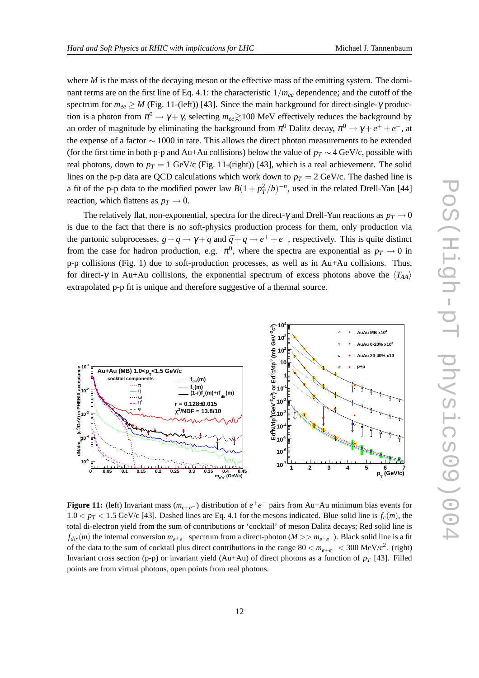where  $M$  is the mass of the decaying meson or the effective mass of the emitting system. The dominant terms are on the first line of Eq. 4.1: the characteristic  $1/m_{ee}$  dependence; and the cutoff of the spectrum for  $m_{ee} \geq M$  (Fig. 11-(left)) [43]. Since the main background for direct-single- $\gamma$  production is a photon from  $\pi^0 \to \gamma + \gamma$ , selecting  $m_{ee} \gtrsim 100$  MeV effectively reduces the background by an order of magnitude by eliminating the background from  $\pi^0$  Dalitz decay,  $\pi^0 \to \gamma + e^+ + e^-$ , at the expense of a factor ∼ 1000 in rate. This allows the direct photon measurements to be extended (for the first time in both p-p and Au+Au collisions) below the value of  $p_T \sim 4$  GeV/c, possible with real photons, down to  $p_T = 1$  GeV/c (Fig. 11-(right)) [43], which is a real achievement. The solid lines on the p-p data are QCD calculations which work down to  $p_T = 2 \text{ GeV/c}$ . The dashed line is a fit of the p-p data to the modified power law  $B(1 + p_T^2/b)^{-n}$ , used in the related Drell-Yan [44] reaction, which flattens as  $p_T \rightarrow 0$ .

The relatively flat, non-exponential, spectra for the direct- $\gamma$  and Drell-Yan reactions as  $p_T \rightarrow 0$ is due to the fact that there is no soft-physics production process for them, only production via the partonic subprocesses,  $g + q \rightarrow \gamma + q$  and  $\bar{q} + q \rightarrow e^+ + e^-$ , respectively. This is quite distinct from the case for hadron production, e.g.  $\pi^0$ , where the spectra are exponential as  $p_T \rightarrow 0$  in p-p collisions (Fig. 1) due to soft-production processes, as well as in Au+Au collisions. Thus, for direct- $\gamma$  in Au+Au collisions, the exponential spectrum of excess photons above the  $\langle T_{AA} \rangle$ extrapolated p-p fit is unique and therefore suggestive of a thermal source.



**Figure 11:** (left) Invariant mass  $(m_{e+e^-})$  distribution of  $e^+e^-$  pairs from Au+Au minimum bias events for  $1.0 < p_T < 1.5$  GeV/c [43]. Dashed lines are Eq. 4.1 for the mesons indicated. Blue solid line is  $f_c(m)$ , the total di-electron yield from the sum of contributions or 'cocktail' of meson Dalitz decays; Red solid line is  $f_{dir}(m)$  the internal conversion  $m_{e^+e^-}$  spectrum from a direct-photon ( $M >> m_{e^+e^-}$ ). Black solid line is a fit of the data to the sum of cocktail plus direct contributions in the range  $80 < m_{e+e^-} < 300 \text{ MeV}/c^2$ . (right) Invariant cross section (p-p) or invariant yield (Au+Au) of direct photons as a function of  $p_T$  [43]. Filled points are from virtual photons, open points from real photons.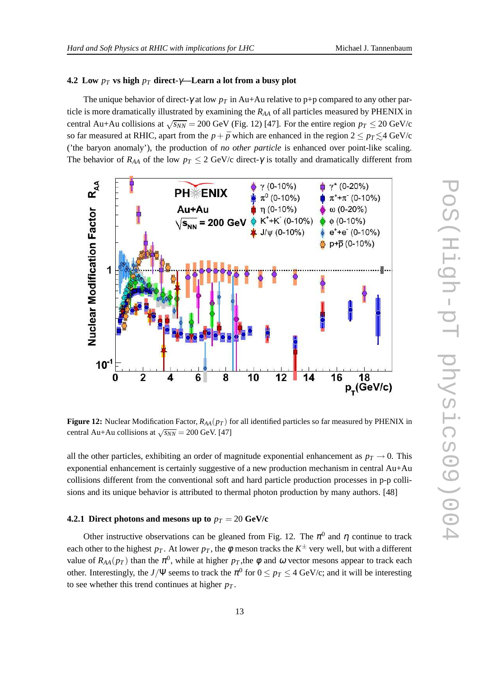#### **4.2** Low  $p_T$  vs high  $p_T$  direct- $\gamma$ —Learn a lot from a busy plot

The unique behavior of direct-<sup>γ</sup> at low *p<sup>T</sup>* in Au+Au relative to p+p compared to any other particle is more dramatically illustrated by examining the  $R_{AA}$  of all particles measured by PHENIX in central Au+Au collisions at  $\sqrt{s_{NN}}$  = 200 GeV (Fig. 12) [47]. For the entire region  $p_T \le 20$  GeV/c so far measured at RHIC, apart from the  $p + \bar{p}$  which are enhanced in the region 2 ≤  $p_T \leq 4$  GeV/c ('the baryon anomaly'), the production of *no other particle* is enhanced over point-like scaling. The behavior of  $R_{AA}$  of the low  $p_T \leq 2$  GeV/c direct- $\gamma$  is totally and dramatically different from



**Figure 12:** Nuclear Modification Factor,  $R_{AA}(p_T)$  for all identified particles so far measured by PHENIX in central Au+Au collisions at  $\sqrt{s_{NN}}$  = 200 GeV. [47]

all the other particles, exhibiting an order of magnitude exponential enhancement as  $p<sub>T</sub> \rightarrow 0$ . This exponential enhancement is certainly suggestive of a new production mechanism in central Au+Au collisions different from the conventional soft and hard particle production processes in p-p collisions and its unique behavior is attributed to thermal photon production by many authors. [48]

#### **4.2.1 Direct photons and mesons up to**  $p_T = 20$  GeV/c

Other instructive observations can be gleaned from Fig. 12. The  $\pi^0$  and  $\eta$  continue to track each other to the highest  $p_T$ . At lower  $p_T$ , the  $\phi$  meson tracks the  $K^\pm$  very well, but with a different value of  $R_{AA}(p_T)$  than the  $\pi^0$ , while at higher  $p_T$ , the  $\phi$  and  $\omega$  vector mesons appear to track each other. Interestingly, the *J*/Ψ seems to track the  $\pi^0$  for  $0 \le p_T \le 4$  GeV/c; and it will be interesting to see whether this trend continues at higher  $p_T$ .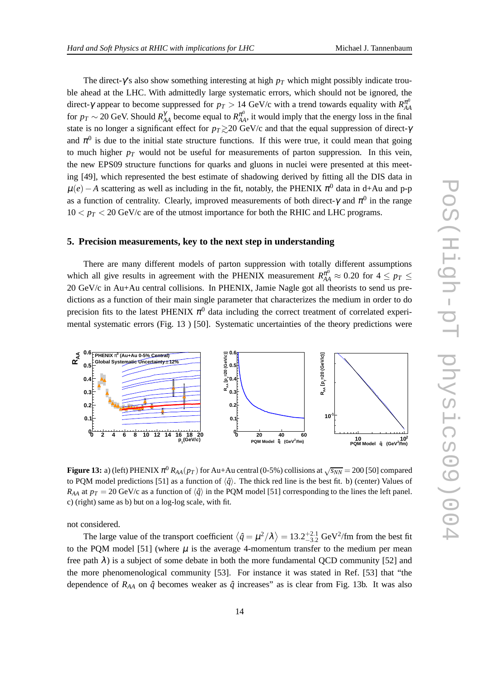The direct-γ's also show something interesting at high *p<sup>T</sup>* which might possibly indicate trouble ahead at the LHC. With admittedly large systematic errors, which should not be ignored, the direct-γ appear to become suppressed for  $p_T > 14$  GeV/c with a trend towards equality with  $R_{AA}^{\pi^0}$ *AA* for  $p_T \sim 20$  GeV. Should  $R_{AA}^{\gamma}$  become equal to  $R_{AA}^{\pi^0}$ , it would imply that the energy loss in the final state is no longer a significant effect for  $p_T \gtrsim 20$  GeV/c and that the equal suppression of direct- $\gamma$ and  $\pi^0$  is due to the initial state structure functions. If this were true, it could mean that going to much higher  $p_T$  would not be useful for measurements of parton suppression. In this vein, the new EPS09 structure functions for quarks and gluons in nuclei were presented at this meeting [49], which represented the best estimate of shadowing derived by fitting all the DIS data in  $\mu(e) - A$  scattering as well as including in the fit, notably, the PHENIX  $\pi^0$  data in d+Au and p-p as a function of centrality. Clearly, improved measurements of both direct- $\gamma$  and  $\pi^0$  in the range  $10 < p_T < 20$  GeV/c are of the utmost importance for both the RHIC and LHC programs.

#### **5. Precision measurements, key to the next step in understanding**

There are many different models of parton suppression with totally different assumptions which all give results in agreement with the PHENIX measurement  $R_{AA}^{\pi^0} \approx 0.20$  for  $4 \leq p_T \leq$ 20 GeV/c in Au+Au central collisions. In PHENIX, Jamie Nagle got all theorists to send us predictions as a function of their main single parameter that characterizes the medium in order to do precision fits to the latest PHENIX  $\pi^0$  data including the correct treatment of correlated experimental systematic errors (Fig. 13 ) [50]. Systematic uncertainties of the theory predictions were



**Figure 13:** a) (left) PHENIX  $\pi^0$   $R_{AA}(p_T)$  for Au+Au central (0-5%) collisions at  $\sqrt{s_{NN}}$  = 200 [50] compared to PQM model predictions [51] as a function of  $\langle \hat{q} \rangle$ . The thick red line is the best fit. b) (center) Values of  $R_{AA}$  at  $p_T = 20$  GeV/c as a function of  $\langle \hat{q} \rangle$  in the PQM model [51] corresponding to the lines the left panel. c) (right) same as b) but on a log-log scale, with fit.

not considered.

The large value of the transport coefficient  $\langle \hat{q} = \mu^2/\lambda \rangle = 13.2^{+2.1}_{-3.2}$  GeV<sup>2</sup>/fm from the best fit to the PQM model [51] (where  $\mu$  is the average 4-momentum transfer to the medium per mean free path  $\lambda$ ) is a subject of some debate in both the more fundamental QCD community [52] and the more phenomenological community [53]. For instance it was stated in Ref. [53] that "the dependence of  $R_{AA}$  on  $\hat{q}$  becomes weaker as  $\hat{q}$  increases" as is clear from Fig. 13b. It was also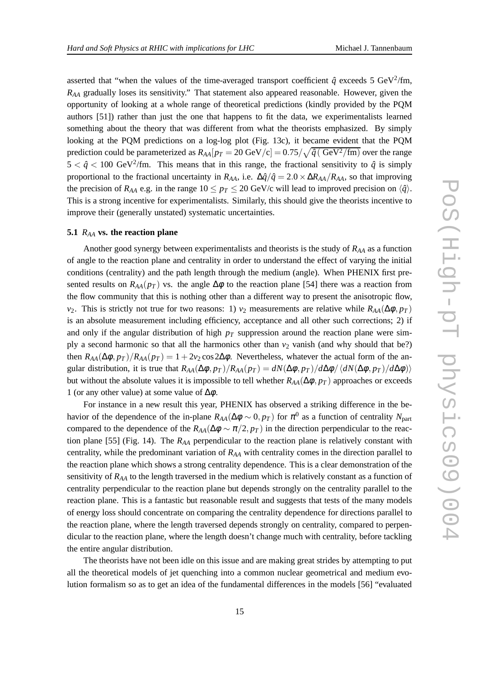asserted that "when the values of the time-averaged transport coefficient  $\hat{q}$  exceeds 5 GeV<sup>2</sup>/fm, *RAA* gradually loses its sensitivity." That statement also appeared reasonable. However, given the opportunity of looking at a whole range of theoretical predictions (kindly provided by the PQM authors [51]) rather than just the one that happens to fit the data, we experimentalists learned something about the theory that was different from what the theorists emphasized. By simply looking at the PQM predictions on a log-log plot (Fig. 13c), it became evident that the PQM prediction could be parameterized as  $R_{AA}[p_T=20~{\rm GeV/c}] = 0.75/\sqrt{\hat{q}({\rm ~GeV^2/fm})}$  over the range  $5 < \hat{q} < 100$  GeV<sup>2</sup>/fm. This means that in this range, the fractional sensitivity to  $\hat{q}$  is simply proportional to the fractional uncertainty in *R*<sub>*AA*</sub>, i.e.  $\Delta \hat{q}/\hat{q} = 2.0 \times \Delta R_{AA}/R_{AA}$ , so that improving the precision of  $R_{AA}$  e.g. in the range  $10 \leq p_T \leq 20$  GeV/c will lead to improved precision on  $\langle \hat{q} \rangle$ . This is a strong incentive for experimentalists. Similarly, this should give the theorists incentive to improve their (generally unstated) systematic uncertainties.

#### **5.1** *RAA* **vs. the reaction plane**

Another good synergy between experimentalists and theorists is the study of *RAA* as a function of angle to the reaction plane and centrality in order to understand the effect of varying the initial conditions (centrality) and the path length through the medium (angle). When PHENIX first presented results on  $R_{AA}(p_T)$  vs. the angle  $\Delta\phi$  to the reaction plane [54] there was a reaction from the flow community that this is nothing other than a different way to present the anisotropic flow, *v*<sub>2</sub>. This is strictly not true for two reasons: 1) *v*<sub>2</sub> measurements are relative while  $R_{AA}(\Delta \phi, p_T)$ is an absolute measurement including efficiency, acceptance and all other such corrections; 2) if and only if the angular distribution of high  $p<sub>T</sub>$  suppression around the reaction plane were simply a second harmonic so that all the harmonics other than  $v_2$  vanish (and why should that be?) then  $R_{AA}(\Delta\phi, p_T)/R_{AA}(p_T) = 1 + 2v_2 \cos 2\Delta\phi$ . Nevertheless, whatever the actual form of the angular distribution, it is true that  $R_{AA}(\Delta\phi, p_T)/R_{AA}(p_T) = dN(\Delta\phi, p_T)/d\Delta\phi/\langle dN(\Delta\phi, p_T)/d\Delta\phi \rangle$ but without the absolute values it is impossible to tell whether  $R_{AA}(\Delta\phi, p_T)$  approaches or exceeds 1 (or any other value) at some value of  $\Delta\phi$ .

For instance in a new result this year, PHENIX has observed a striking difference in the behavior of the dependence of the in-plane  $R_{AA}(\Delta \phi \sim 0, p_T)$  for  $\pi^0$  as a function of centrality  $N_{\text{part}}$ compared to the dependence of the  $R_{AA}(\Delta \phi \sim \pi/2, p_T)$  in the direction perpendicular to the reaction plane [55] (Fig. 14). The *RAA* perpendicular to the reaction plane is relatively constant with centrality, while the predominant variation of *RAA* with centrality comes in the direction parallel to the reaction plane which shows a strong centrality dependence. This is a clear demonstration of the sensitivity of *RAA* to the length traversed in the medium which is relatively constant as a function of centrality perpendicular to the reaction plane but depends strongly on the centrality parallel to the reaction plane. This is a fantastic but reasonable result and suggests that tests of the many models of energy loss should concentrate on comparing the centrality dependence for directions parallel to the reaction plane, where the length traversed depends strongly on centrality, compared to perpendicular to the reaction plane, where the length doesn't change much with centrality, before tackling the entire angular distribution.

The theorists have not been idle on this issue and are making great strides by attempting to put all the theoretical models of jet quenching into a common nuclear geometrical and medium evolution formalism so as to get an idea of the fundamental differences in the models [56] "evaluated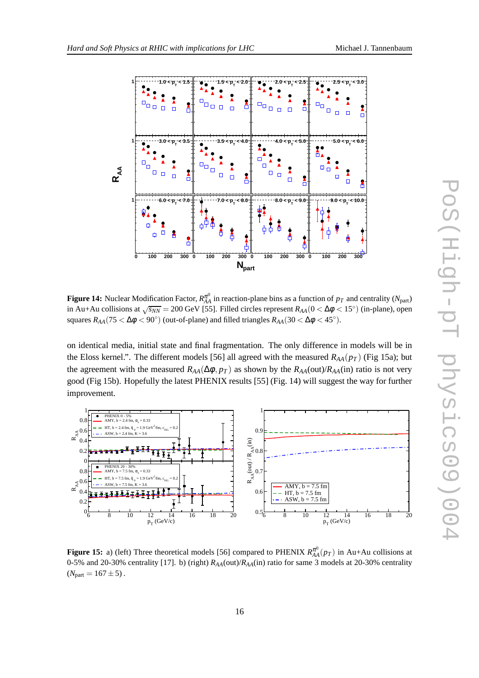

**Figure 14:** Nuclear Modification Factor,  $R_{AA}^{\pi^0}$  in reaction-plane bins as a function of  $p_T$  and centrality ( $N_{\rm part}$ ) in Au+Au collisions at  $\sqrt{s_{NN}}$  = 200 GeV [55]. Filled circles represent  $R_{AA}$  ( $0 < \Delta \phi < 15^\circ$ ) (in-plane), open squares  $R_{AA}(75 < \Delta \phi < 90^{\circ})$  (out-of-plane) and filled triangles  $R_{AA}(30 < \Delta \phi < 45^{\circ})$ .

on identical media, initial state and final fragmentation. The only difference in models will be in the Eloss kernel.". The different models [56] all agreed with the measured  $R_{AA}(p_T)$  (Fig 15a); but the agreement with the measured  $R_{AA}(\Delta\phi, p_T)$  as shown by the  $R_{AA}(out)/R_{AA}(in)$  ratio is not very good (Fig 15b). Hopefully the latest PHENIX results [55] (Fig. 14) will suggest the way for further improvement.



**Figure 15:** a) (left) Three theoretical models [56] compared to PHENIX  $R_{AA}^{\pi^0}(p_T)$  in Au+Au collisions at 0-5% and 20-30% centrality [17]. b) (right) *RAA*(out)/*RAA*(in) ratio for same 3 models at 20-30% centrality  $(N_{part} = 167 \pm 5)$ .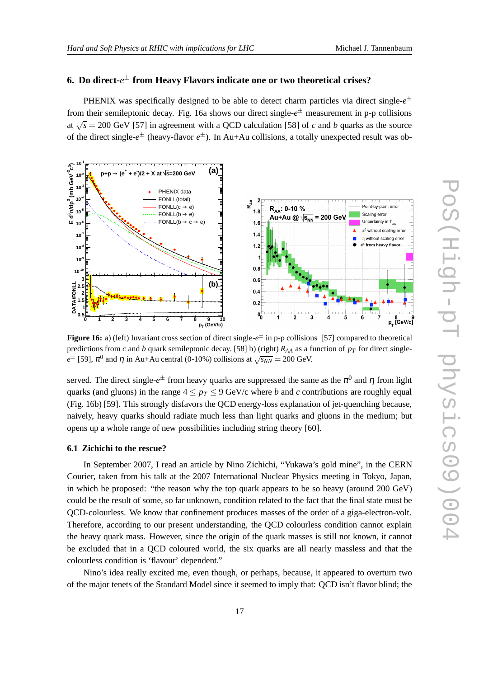#### **6. Do direct-***e* ± **from Heavy Flavors indicate one or two theoretical crises?**

PHENIX was specifically designed to be able to detect charm particles via direct single- $e^{\pm}$ from their semileptonic decay. Fig. 16a shows our direct single-*e* ± measurement in p-p collisions at  $\sqrt{s}$  = 200 GeV [57] in agreement with a QCD calculation [58] of *c* and *b* quarks as the source of the direct single-*e* ± (heavy-flavor *e* ±). In Au+Au collisions, a totally unexpected result was ob-



**Figure 16:** a) (left) Invariant cross section of direct single-*e* ± in p-p collisions [57] compared to theoretical predictions from *c* and *b* quark semileptonic decay. [58] b) (right)  $R_{AA}$  as a function of  $p_T$  for direct single $e^{\pm}$  [59],  $\pi^0$  and  $\eta$  in Au+Au central (0-10%) collisions at  $\sqrt{s_{NN}}$  = 200 GeV.

served. The direct single- $e^{\pm}$  from heavy quarks are suppressed the same as the  $\pi^0$  and  $\eta$  from light quarks (and gluons) in the range  $4 \leq p_T \leq 9$  GeV/c where *b* and *c* contributions are roughly equal (Fig. 16b) [59]. This strongly disfavors the QCD energy-loss explanation of jet-quenching because, naively, heavy quarks should radiate much less than light quarks and gluons in the medium; but opens up a whole range of new possibilities including string theory [60].

#### **6.1 Zichichi to the rescue?**

In September 2007, I read an article by Nino Zichichi, "Yukawa's gold mine", in the CERN Courier, taken from his talk at the 2007 International Nuclear Physics meeting in Tokyo, Japan, in which he proposed: "the reason why the top quark appears to be so heavy (around 200 GeV) could be the result of some, so far unknown, condition related to the fact that the final state must be QCD-colourless. We know that confinement produces masses of the order of a giga-electron-volt. Therefore, according to our present understanding, the QCD colourless condition cannot explain the heavy quark mass. However, since the origin of the quark masses is still not known, it cannot be excluded that in a QCD coloured world, the six quarks are all nearly massless and that the colourless condition is 'flavour' dependent."

Nino's idea really excited me, even though, or perhaps, because, it appeared to overturn two of the major tenets of the Standard Model since it seemed to imply that: QCD isn't flavor blind; the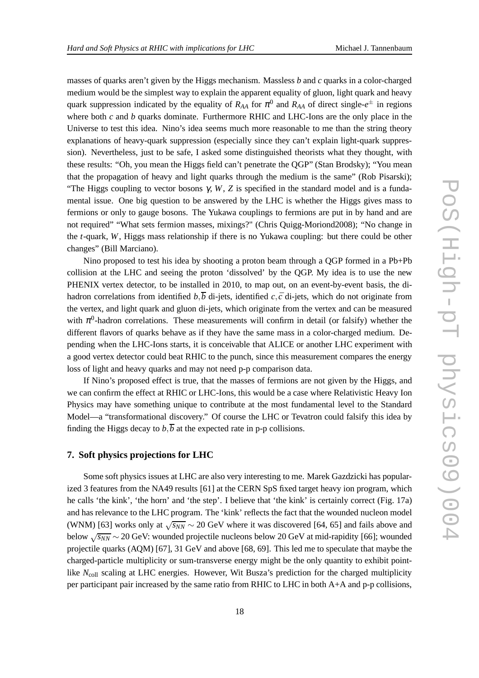masses of quarks aren't given by the Higgs mechanism. Massless *b* and *c* quarks in a color-charged medium would be the simplest way to explain the apparent equality of gluon, light quark and heavy quark suppression indicated by the equality of  $R_{AA}$  for  $\pi^0$  and  $R_{AA}$  of direct single- $e^{\pm}$  in regions where both *c* and *b* quarks dominate. Furthermore RHIC and LHC-Ions are the only place in the Universe to test this idea. Nino's idea seems much more reasonable to me than the string theory explanations of heavy-quark suppression (especially since they can't explain light-quark suppression). Nevertheless, just to be safe, I asked some distinguished theorists what they thought, with these results: "Oh, you mean the Higgs field can't penetrate the QGP" (Stan Brodsky); "You mean that the propagation of heavy and light quarks through the medium is the same" (Rob Pisarski); "The Higgs coupling to vector bosons  $\gamma$ , *W*, *Z* is specified in the standard model and is a fundamental issue. One big question to be answered by the LHC is whether the Higgs gives mass to fermions or only to gauge bosons. The Yukawa couplings to fermions are put in by hand and are not required" "What sets fermion masses, mixings?" (Chris Quigg-Moriond2008); "No change in the *t*-quark, *W*, Higgs mass relationship if there is no Yukawa coupling: but there could be other changes" (Bill Marciano).

Nino proposed to test his idea by shooting a proton beam through a QGP formed in a Pb+Pb collision at the LHC and seeing the proton 'dissolved' by the QGP. My idea is to use the new PHENIX vertex detector, to be installed in 2010, to map out, on an event-by-event basis, the dihadron correlations from identified  $b, \overline{b}$  di-jets, identified *c*,  $\overline{c}$  di-jets, which do not originate from the vertex, and light quark and gluon di-jets, which originate from the vertex and can be measured with  $\pi^0$ -hadron correlations. These measurements will confirm in detail (or falsify) whether the different flavors of quarks behave as if they have the same mass in a color-charged medium. Depending when the LHC-Ions starts, it is conceivable that ALICE or another LHC experiment with a good vertex detector could beat RHIC to the punch, since this measurement compares the energy loss of light and heavy quarks and may not need p-p comparison data.

If Nino's proposed effect is true, that the masses of fermions are not given by the Higgs, and we can confirm the effect at RHIC or LHC-Ions, this would be a case where Relativistic Heavy Ion Physics may have something unique to contribute at the most fundamental level to the Standard Model—a "transformational discovery." Of course the LHC or Tevatron could falsify this idea by finding the Higgs decay to  $b, \overline{b}$  at the expected rate in p-p collisions.

#### **7. Soft physics projections for LHC**

Some soft physics issues at LHC are also very interesting to me. Marek Gazdzicki has popularized 3 features from the NA49 results [61] at the CERN SpS fixed target heavy ion program, which he calls 'the kink', 'the horn' and 'the step'. I believe that 'the kink' is certainly correct (Fig. 17a) and has relevance to the LHC program. The 'kink' reflects the fact that the wounded nucleon model (WNM) [63] works only at  $\sqrt{s_{NN}}$  ~ 20 GeV where it was discovered [64, 65] and fails above and below √ *sNN* ∼ 20 GeV: wounded projectile nucleons below 20 GeV at mid-rapidity [66]; wounded projectile quarks (AQM) [67], 31 GeV and above [68, 69]. This led me to speculate that maybe the charged-particle multiplicity or sum-transverse energy might be the only quantity to exhibit pointlike *N*<sub>coll</sub> scaling at LHC energies. However, Wit Busza's prediction for the charged multiplicity per participant pair increased by the same ratio from RHIC to LHC in both A+A and p-p collisions,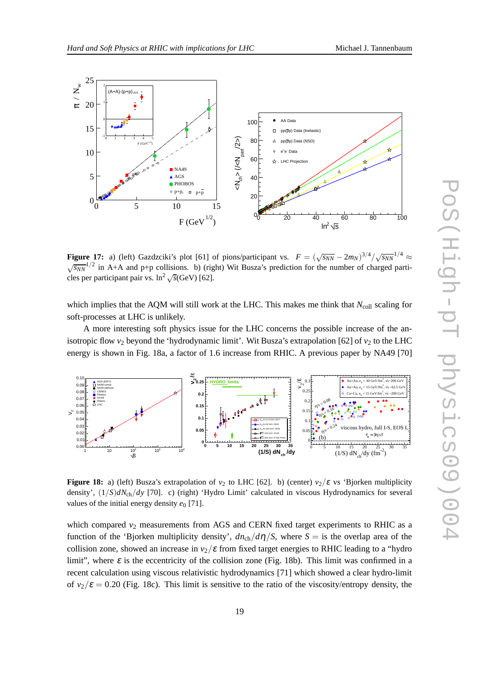



**Figure 17:** a) (left) Gazdzciki's plot [61] of pions/participant vs.  $F = (\sqrt{s_{NN}} - 2m_N)^{3/4}/\sqrt{s_{NN}}^{1/4} \approx$  $\sqrt{s_{NN}}^{1/2}$  in A+A and p+p collisions. b) (right) Wit Busza's prediction for the number of charged particles per participant pair vs.  $\ln^2 \sqrt{s}$ (GeV) [62].

which implies that the AQM will still work at the LHC. This makes me think that  $N_{\text{coll}}$  scaling for soft-processes at LHC is unlikely.

A more interesting soft physics issue for the LHC concerns the possible increase of the anisotropic flow  $v_2$  beyond the 'hydrodynamic limit'. Wit Busza's extrapolation [62] of  $v_2$  to the LHC energy is shown in Fig. 18a, a factor of 1.6 increase from RHIC. A previous paper by NA49 [70]



**Figure 18:** a) (left) Busza's extrapolation of  $v_2$  to LHC [62]. b) (center)  $v_2/\varepsilon$  vs 'Bjorken multiplicity density', (1/*S*)*dN*ch/*dy* [70]. c) (right) 'Hydro Limit' calculated in viscous Hydrodynamics for several values of the initial energy density  $e_0$  [71].

which compared  $v_2$  measurements from AGS and CERN fixed target experiments to RHIC as a function of the 'Bjorken multiplicity density',  $dn_{ch}/d\eta/S$ , where  $S =$  is the overlap area of the collision zone, showed an increase in  $v_2/\varepsilon$  from fixed target energies to RHIC leading to a "hydro" limit", where  $\varepsilon$  is the eccentricity of the collision zone (Fig. 18b). This limit was confirmed in a recent calculation using viscous relativistic hydrodynamics [71] which showed a clear hydro-limit of  $v_2/\varepsilon = 0.20$  (Fig. 18c). This limit is sensitive to the ratio of the viscosity/entropy density, the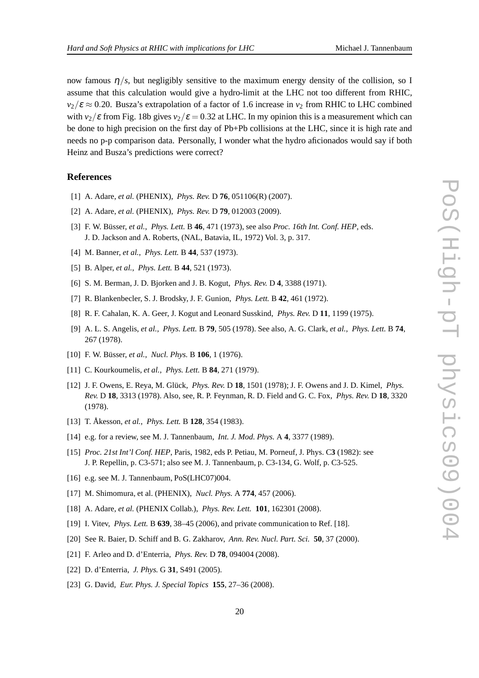now famous  $\eta/s$ , but negligibly sensitive to the maximum energy density of the collision, so I assume that this calculation would give a hydro-limit at the LHC not too different from RHIC,  $v_2/\varepsilon \approx 0.20$ . Busza's extrapolation of a factor of 1.6 increase in  $v_2$  from RHIC to LHC combined with  $v_2/\varepsilon$  from Fig. 18b gives  $v_2/\varepsilon = 0.32$  at LHC. In my opinion this is a measurement which can be done to high precision on the first day of Pb+Pb collisions at the LHC, since it is high rate and needs no p-p comparison data. Personally, I wonder what the hydro aficionados would say if both Heinz and Busza's predictions were correct?

#### **References**

- [1] A. Adare, *et al.* (PHENIX), *Phys. Rev.* D **76**, 051106(R) (2007).
- [2] A. Adare, *et al.* (PHENIX), *Phys. Rev.* D **79**, 012003 (2009).
- [3] F. W. Büsser, *et al.*, *Phys. Lett.* B **46**, 471 (1973), see also *Proc. 16th Int. Conf. HEP*, eds. J. D. Jackson and A. Roberts, (NAL, Batavia, IL, 1972) Vol. 3, p. 317.
- [4] M. Banner, *et al.*, *Phys. Lett.* B **44**, 537 (1973).
- [5] B. Alper, *et al.*, *Phys. Lett.* B **44**, 521 (1973).
- [6] S. M. Berman, J. D. Bjorken and J. B. Kogut, *Phys. Rev.* D **4**, 3388 (1971).
- [7] R. Blankenbecler, S. J. Brodsky, J. F. Gunion, *Phys. Lett.* B **42**, 461 (1972).
- [8] R. F. Cahalan, K. A. Geer, J. Kogut and Leonard Susskind, *Phys. Rev.* D **11**, 1199 (1975).
- [9] A. L. S. Angelis, *et al.*, *Phys. Lett.* B **79**, 505 (1978). See also, A. G. Clark, *et al.*, *Phys. Lett.* B **74**, 267 (1978).
- [10] F. W. Büsser, *et al.*, *Nucl. Phys.* B **106**, 1 (1976).
- [11] C. Kourkoumelis, *et al.*, *Phys. Lett.* B **84**, 271 (1979).
- [12] J. F. Owens, E. Reya, M. Glück, *Phys. Rev.* D **18**, 1501 (1978); J. F. Owens and J. D. Kimel, *Phys. Rev.* D **18**, 3313 (1978). Also, see, R. P. Feynman, R. D. Field and G. C. Fox, *Phys. Rev.* D **18**, 3320 (1978).
- [13] T. Åkesson, *et al.*, *Phys. Lett.* B **128**, 354 (1983).
- [14] e.g. for a review, see M. J. Tannenbaum, *Int. J. Mod. Phys.* A **4**, 3377 (1989).
- [15] *Proc. 21st Int'l Conf. HEP*, Paris, 1982, eds P. Petiau, M. Porneuf, J. Phys. C**3** (1982): see J. P. Repellin, p. C3-571; also see M. J. Tannenbaum, p. C3-134, G. Wolf, p. C3-525.
- [16] e.g. see M. J. Tannenbaum, PoS(LHC07)004.
- [17] M. Shimomura, et al. (PHENIX), *Nucl. Phys.* A **774**, 457 (2006).
- [18] A. Adare, *et al.* (PHENIX Collab.), *Phys. Rev. Lett.* **101**, 162301 (2008).
- [19] I. Vitev, *Phys. Lett.* B **639**, 38–45 (2006), and private communication to Ref. [18].
- [20] See R. Baier, D. Schiff and B. G. Zakharov, *Ann. Rev. Nucl. Part. Sci.* **50**, 37 (2000).
- [21] F. Arleo and D. d'Enterria, *Phys. Rev.* D **78**, 094004 (2008).
- [22] D. d'Enterria, *J. Phys.* G **31**, S491 (2005).
- [23] G. David, *Eur. Phys. J. Special Topics* **155**, 27–36 (2008).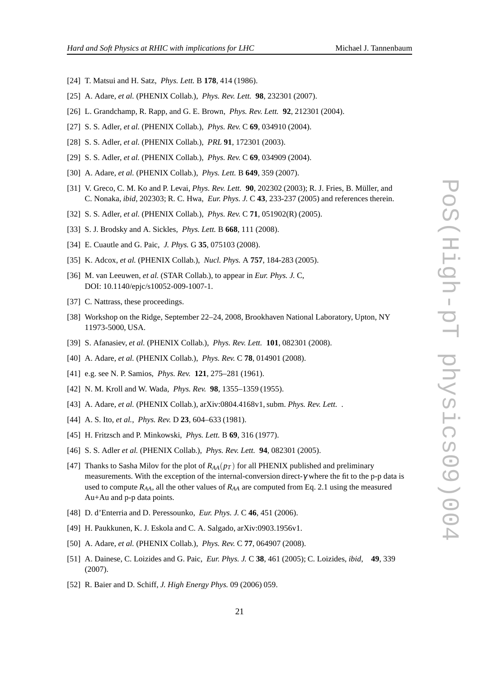- [24] T. Matsui and H. Satz, *Phys. Lett.* B **178**, 414 (1986).
- [25] A. Adare, *et al.* (PHENIX Collab.), *Phys. Rev. Lett.* **98**, 232301 (2007).
- [26] L. Grandchamp, R. Rapp, and G. E. Brown, *Phys. Rev. Lett.* **92**, 212301 (2004).
- [27] S. S. Adler, *et al.* (PHENIX Collab.), *Phys. Rev.* C **69**, 034910 (2004).
- [28] S. S. Adler, *et al.* (PHENIX Collab.), *PRL* **91**, 172301 (2003).
- [29] S. S. Adler, *et al.* (PHENIX Collab.), *Phys. Rev.* C **69**, 034909 (2004).
- [30] A. Adare, *et al.* (PHENIX Collab.), *Phys. Lett.* B **649**, 359 (2007).
- [31] V. Greco, C. M. Ko and P. Levai, *Phys. Rev. Lett.* **90**, 202302 (2003); R. J. Fries, B. Müller, and C. Nonaka, *ibid*, 202303; R. C. Hwa, *Eur. Phys. J.* C **43**, 233-237 (2005) and references therein.
- [32] S. S. Adler, *et al.* (PHENIX Collab.), *Phys. Rev.* C **71**, 051902(R) (2005).
- [33] S. J. Brodsky and A. Sickles, *Phys. Lett.* B **668**, 111 (2008).
- [34] E. Cuautle and G. Paic, *J. Phys.* G **35**, 075103 (2008).
- [35] K. Adcox, *et al.* (PHENIX Collab.), *Nucl. Phys.* A **757**, 184-283 (2005).
- [36] M. van Leeuwen, *et al.* (STAR Collab.), to appear in *Eur. Phys. J.* C, DOI: 10.1140/epjc/s10052-009-1007-1.
- [37] C. Nattrass, these proceedings.
- [38] Workshop on the Ridge, September 22–24, 2008, Brookhaven National Laboratory, Upton, NY 11973-5000, USA.
- [39] S. Afanasiev, *et al.* (PHENIX Collab.), *Phys. Rev. Lett.* **101**, 082301 (2008).
- [40] A. Adare, *et al.* (PHENIX Collab.), *Phys. Rev.* C **78**, 014901 (2008).
- [41] e.g. see N. P. Samios, *Phys. Rev.* **121**, 275–281 (1961).
- [42] N. M. Kroll and W. Wada, *Phys. Rev.* **98**, 1355–1359 (1955).
- [43] A. Adare, *et al.* (PHENIX Collab.), arXiv:0804.4168v1, subm. *Phys. Rev. Lett.* .
- [44] A. S. Ito, *et al.*, *Phys. Rev.* D **23**, 604–633 (1981).
- [45] H. Fritzsch and P. Minkowski, *Phys. Lett.* B **69**, 316 (1977).
- [46] S. S. Adler *et al.* (PHENIX Collab.), *Phys. Rev. Lett.* **94**, 082301 (2005).
- [47] Thanks to Sasha Milov for the plot of *RAA*(*p<sup>T</sup>* ) for all PHENIX published and preliminary measurements. With the exception of the internal-conversion direct-γ where the fit to the p-p data is used to compute  $R_{AA}$ , all the other values of  $R_{AA}$  are computed from Eq. 2.1 using the measured Au+Au and p-p data points.
- [48] D. d'Enterria and D. Peressounko, *Eur. Phys. J.* C **46**, 451 (2006).
- [49] H. Paukkunen, K. J. Eskola and C. A. Salgado, arXiv:0903.1956v1.
- [50] A. Adare, *et al.* (PHENIX Collab.), *Phys. Rev.* C **77**, 064907 (2008).
- [51] A. Dainese, C. Loizides and G. Paic, *Eur. Phys. J.* C **38**, 461 (2005); C. Loizides, *ibid*, **49**, 339 (2007).
- [52] R. Baier and D. Schiff, *J. High Energy Phys.* 09 (2006) 059.